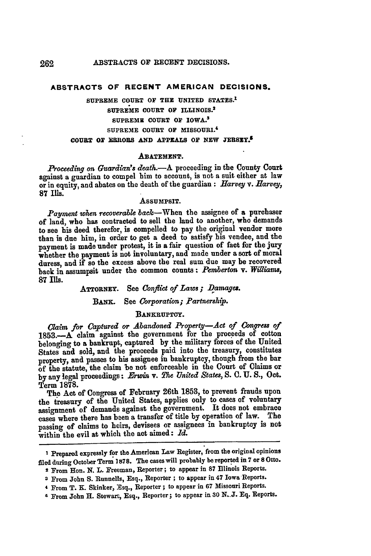### **ABSTRACTS OF RECENT AMERICAN DECISIONS.**

# **SUPREME COURT OF THE UNITED STATES.1 SUPREME COURT OF ILLINOIS.1 SUPREME COURT OF IOWA.<sup>3</sup> SUPREME COURT OF MISSOURI. <sup>4</sup> COURT OF** *ERIROBS* **AND APPEALS OF NEW JERSEYA**

#### **ABATEMENT.**

*Proceeding on Guardian's death.-A* proceeding in the County Court against a guardian to compel him to account, is not a suit either at law or in equity, and abates on the death of the guardian **:** *Harvey v. Harvey,* **87** Ills.

#### AssuMPSIT.

*Payment when recoverable* back-When the assignee of a purchaser of land, who has contracted **to** sell the land to another, who demands to see his deed therefor, is compelled to pay the original vendor more than is due him, in order to get a deed to satisfy his vendee, and the payment is made under protest, it is a fair question of fact for the jury whether the payment is not involuntary, and made under a sort of moral duress, and if so the excess above the real sum due may be recovered back in assumpsit under the common counts: *Pemberton* v. *Wfliarms,* **87** Ills.

# **ATTORNEY.** See *Conflict of Laws; Damages.*

### BANK. See *Corporation; Partnership.*

# **BANKRUPTCY.**

*Claim for Captured or Abandoned Property-Act of Congress of* **1853.-A** claim against the government for the proceeds of cotton belonging to a bankrupt, captured **by** the military forces of the United States and sold, **and** the proceeds paid into the treasury, constitutes property, and passes **to** his assignee in bankruptcy, though from the bar of the statute, the claim be not enforceable in the Court of Claims or **by** any legal proceedings: *F-win* v. *The United States, S.* **C. U.** *S.,* Oct. Term **1878.**

The Act of Congress of February 26th **1853,** to prevent frauds upon the treasury of the United States, applies only **to** cases of voluntary assignment of demands against the government. It does not embrace cases where there has been a transfer of title **by** operation of law. The passing of claims to heirs, devisees or assignees in bankruptcy is not within the evil at which the act aimed: *Id.*

**I** Prepared expressly for the American Law Register, from the original opinions **filed** during October Term **1878.** The cases will probably **be** reported in **7** or **8 Otto.**

<sup>2</sup> From Hon. **N.** L. Freeman, Reporter; to appear in **87** Illinois Reports.

**<sup>3</sup>** From John **S.** Runnells, Esq., Reporter **;** to appear in 47 Iowa Reports.

<sup>4</sup> From T. K. Skinker, :Esq., Reporter; to appear in **67** Missouri Reports.

<sup>4</sup> From John H. Stewart, Esq., Reporter; to appear in **30 N..J. Eq.** Reports.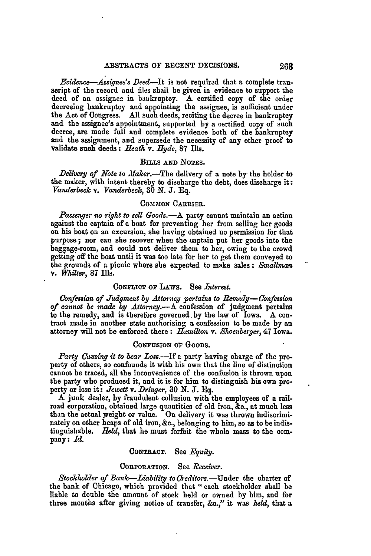*Evi(dnce-Assinee's Deed-It* is not required that a complete transcript of the record and files shall be given in evidence **to** support the deed of an assignee in bankruptcy. A certified copy of the order decreeing bankruptcy and appointing the assignee, is sufficient under the Act of Congress. All such deeds, reciting the decree in bankruptcy and the assignee's appointment, supported **by** a certified copy of such decree, are made full and complete evidence both of the bankruptcy and the assignment, and supersede the necessity of any other proof to validate such deeds: *Heath v. .Hyde,* **87** Ills.

# BILLS **AND NOTES.**

Delivery of Note to Maker.-The delivery of a note by the holder to the maker, with intent thereby to discharge the debt, does discharge it: *Vanderbeck v. Vanderbeck,* 30 **N. J. Eq.**

### COMMON CARRIER.

*Passenger* no *right to sell Goods.-A* party cannot maintain an action against the captain of a boat for preventing her from selling her goods on his boat on an excursion, she having obtained no permission for that purpose; nor can she recover when the captain put her goods into the baggage-room, and **could** not deliver them to **her, owing to the crowd** getting off the boat until it was too late for her to get them conveyed to the grounds of a picnic where she expected to make sales: *Smallman* v. *Whiter,* **87** Ills.

### **CONFLICT** OF LAWs. **See** *Interest.*

*Confession of Judgment by Attorney pertains to Remedy- Confession of cannot be made by Attorney.-A* confession of judgment pextains to the remedy, and is therefore governed, **by** the law of Iowa. **A** contract made in another state authorizing a confession to be made **by** an attorney will not be enforced there **:** *Hamilton* **v.** *Shoenberqer,* 47 Iowa.

### **CONFUSION** oF **GOODS.**

Party Causing it to bear Loss.-If a party having charge of the property of others, so confounds it with his own that the line of distinction cannot be traced, all the inconvenience of the confusion is thrown upon **the** party who produced it, and it is for him to distinguish his own property or lose it: *Jewett* **v.** *Dringer,* **30 N. J. Eq.**

**A** junk dealer, **by** fraudulent collusion with the employees of a railroad corporation, obtained large quantities of old iron, **&c.,** at much less than the actual weight or value. On delivery it was thrown indiscriminately on other heaps of old iron, **&c.,** belonging to him, so **as to** be indistinguishsble. *Held,* that he must forfeit the whole mass to the company: *Id.*

### **CONTRACT.** See *Equity.*

#### **CORPORATION.** See *Receiver.*

*Stockholder of Bank-Liability to Credtors.-]Under* the charter of the bank of Chicago, which provided that "each stockholder shall be liable to double the amount of stock held or owned **by** him, and for three months after giving notice of transfer, **&c.** it was *held,* that a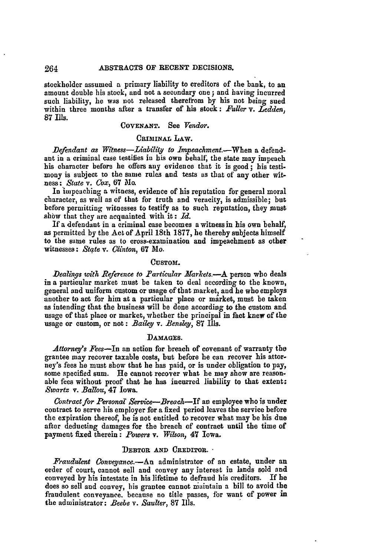stockholder assumed *a* primary liability to creditors of the bank, to an amount double his stock, and not a secondary one; and having incurred such liability, he was not released therefrom **by** his not being sued within three months after a transfer of his stock: *Fuller* v. *Ledden,* **87** Ills.

# **COVENANT.** See *Vendor.*

# **CRIMINAL** LAw.

*Defendant as Witness-Liability to Impeachment.*-When a defendant in a criminal case testifies in his own behalf, the state may impeach his character before he offers any evidence that it is good ; his testimony is subject to the same rules and tests as that of any other witness: *S tate v. Cox,* **67** 1o.

In impeaching a witness, evidence of his reputation for general moral character, as well as of that for truth and veracity, is admissible; but before permitting witnesses to testify as to such reputation, they must show that they are acquainted with it:  $Id$ .

If a defendant in a criminal case becomes a witness in his own behalf, as permitted **by** the Act of April 18th 1877, he thereby subjects himself to the same rules as to cross-examination and impeachment as other witnesses: *State v. Clinton,* **67** Mo.

### **CUSTOM.**

Dealings with Reference to Particular Markets.-A person who deals in a particular market must be taken to deal according to the known, general and uniform custom or usage of that market, and he who employs another to act for him at a particular place or market, must be taken as intending that the business will be done according to the custom and usage of that place or market, whether the principal in fact knew of the usage or custom, or not: *Bailey v. Bensley,* 87 Ills.

### **DAMAGES.**

*Attorney's Fees-In* an action for breach of covenant of warranty the grantee may recover taxable costs, but before he can recover his attorney's fees he must show that he has paid, or is under obligation to pay, some specified sum. He cannot recover what he may show are reason-<br>able fees without proof that he has incurred liability to that extent: *,Swartz v. Ballou,* 47 Iowa.

*Contract for Personal Service-Breach-If* an employee who is under contract to serve his employer for a fixed period leaves the service before the expiration thereof, he is not entitled to recover what may be his due after deducting damages for the breach of contract until the time of payment fixed therein: *Powers v. Wilson,* 47 Iowa.

### **DEBTOR AND CREDITOR. -**

*Fraudulent Conveyance.-An* administrator of an estate, under an order of court, cannot sell and convey any interest in lands sold and conveyed by his intestate in his lifetime to defraud his creditors. If he does so sell and convey, his grantee cannot naintain a bill to avoid the fraudulent conveyance, because no title passes, for want of power in the administrator: *Beebe v. Saulter,* **87** Ills.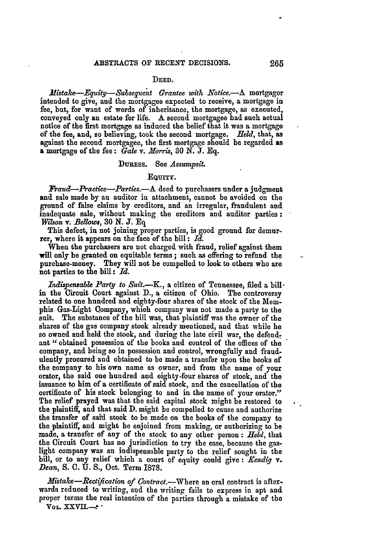#### **DEED.**

*JfMistake-Equity-Subseguent Grantee with Notice.-A* mortgagor intended to give, and the mortgagee expected to receive, a mortgage in fee, but, for want of words of inheritance, the mortgage, as executed, conveyed only an estate for life. A second mortgagee had such actual notice of the first mortgage as induced the belief that it was a mortgage of the fee, and, so believing, took the second mortgage. *field,* that, as against the second mortgagee, the first mortgage should be regarded as a mortgage of the fee: *Gale* v. *Norris, 30* **N. J. Eq.**

### DuREsS. See *Assumpsit.*

### **EQUITY.**

*Paud-Practice-Parties.-A* deed to purchasers under a judgment and sale made **by** an auditor in attachment, cannot be avoided on the ground of false claims **by** creditors, and an irregular, fraudulent and inadequate sale, without making the creditors and auditor parties: *Wson* v. *Bellows,* **30 N. J. Eq**

This defect, in not joining proper parties, is good ground for demurrer, where it appears on the face of the bill **:** *Id.*

When the purchasers are not charged with fraud, relief against them will only **be** granted on equitable terms; such as offering to refund the purchase-money. They will not be compelled to look to others who are not parties to the bill **:** *Id.*

*Indispensable Party to Suit.*---K., a citizen of Tennessee, filed a bill  $\cdot$ in the Circuit Court against **D.,** a citizen of Ohio. The controversy related to one hundred and eighty-four shares of the stock of the Memphis Gas-Light Company, which company was not made a party to the suit. The substance of the bill was, that plaintiff was the owner of the shares of the gas company stock already mentioned, and that while he so owned and held the stock, and during the late civil war, the defend. ant "obtained possession of the books and control of the offices of the company, and being so in possession and control, wrongfully and fraudulently procured and obtained to be made a transfer upon the books of the company to his own name as owner, and from the name of your orator, the said one hundred and eighty-four shares of stock, and the issuance to him of a certificate of said stock, and the cancellation of the certificate of his stock belonging **to** and in the name of your orator." The relief prayed was that the said capital stock might be restored to the plaintiff, **and** that said D. might be compelled to cause and authorize the transfer of said stock to be made on the books of the company to the plaintiff, and might be enjoined from making, or authorizing to be made, a transfer of any of the stock to any other person **:** *Hekl,* that the Circuit Court has no jurisdiction to try the case, because the gaslight company was an indispensable party to the relief sought in the bill, or to any relief which a court of equity could give **:** *.Kendig v. Dean,* **S. C. U. S.,** Oct. Term 1878.

*Mistake-Rectification of Contract.*-Where an oral contract is afterwards reduced to writing, and the writing fails to express in apt and proper terms the real intention of the parties through a mistake of the **VOL. XXVII.-'**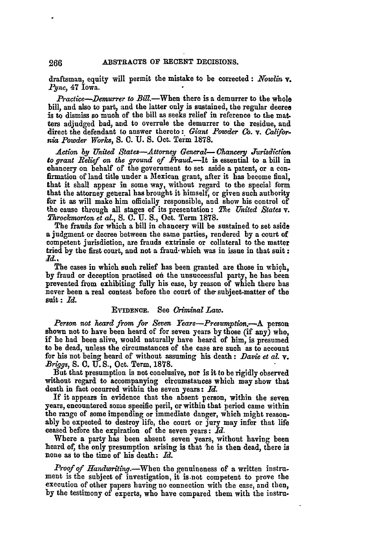draftsman, equity will permit the mistake to be corrected: *Nowlin v. Pync,* 47 Iowa.

*Practice--Demurrer to Bill*.--When there is a demurrer to the whole bill, and also to part, **and** the latter only is sustained, the regular decree is to dismiss so much of the bill as seeks relief in reference to the mat. ters adjudged bad, and to overrule the demurrer to the residue, and direct the defendant to answer thereto: *Giant Powder Co. v. Califor. na Powder Works,* **S. C. U. S.** Oct. Term **1878.**

*Action by United States-Attorney General- Chancery Jurisdction to grant Belief on the ground of* Fraud.-It is essential to a bill in chancery on behalf of the government to set aside a patent, or a con- firmation of land title under a Mexican grant, after it has become final, that it shall appear in some way, without regard to the special form that the attorney general has brought it himself, or given such authority for it as will make him officially responsible, and show his control of the cause through all stages of its presentation: *The United States v. Tkirockmorton et al.,* **S. O. U. S.,** Oct. Term **1878.**

The frauds for which a bill in chancery will be sustained to set aside a judgment or decree between the same parties, rendered **by** a court of competent jurisdiction, are frauds extrinsic or collateral to the matter tried by the first court, and not a fraud which was in issue in that suit: *-d.-*

The cases in which such relief has been granted are those in which, **by** fraud or deception practised on the unsuccessful party, he has been prevented from exhibiting fully his case, **by** reason of which there has never been a real contest before the court of the subject-matter of the suit **:** *Id.*

### EVIDENCE. See *Criminal Law.*

Person not heard from for Seven Years-Presumption.-A person shown not to have been heard of for seven years **by** those (if any) who, if he had been alive, would naturally have beard of him, is presumed to be dead, unless the circumstances of the case are such as to account for his not being heard of without assuming his death: *Davie et al. v. Briggs,* **S. C. U. S.,** Oct. Term, **1878.**

But that presumption is not conclusive, nor is it to be rigidly observed without regard to accompanying circumstances which may show that death in fact occurred within the seven years: *Id.*

**If** it appears in evidence that the absent person, within the seven years, encountered some specific peril, or within that period came within the range of some impending or immediate danger, which might reason- ably be expected to destroy life, the court or jury may infer that life ceased before the expiration of the seven years: *Id.*

Where a party has been absent seven years, without having been heard *of,* the only presumption arising is that **he** is then dead, there is none as to the time of his death: *Id.*

*Proof of Handwriting.-When* the genuineness of a written instrument is the subject of investigation, it is.not competent to prove the execution of other papers having no connection with the case, and then, **by** the testimony of experts, who have compared them with the instru-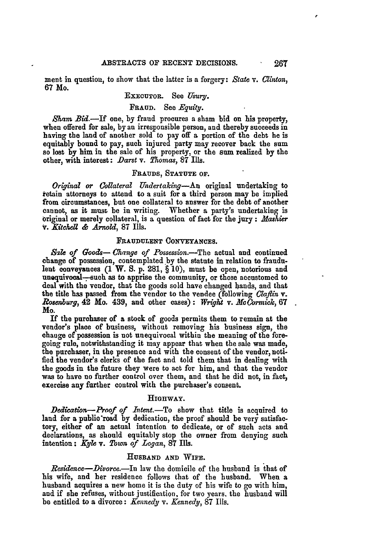ment in question, to show that the latter is a forgery: *State* v. *Clinton,* **67** Mo.

# EXECUTOR. See *Usury.*

# **FRAUD.** See *Equity.*

*Sham Bid.-If* one, **by** fraud procures a sham bid on his property, when offered for sale, **by** an irresponsible person, and thereby succeeds in having the land of another sold to pay off a portion of the debt he is equitably bound to pay, such injured party may recover back the sum so lost **by** him in the sale of his property, or the sum realized **by** the other, with interest: *Darst v. lhomas,* **87** Ills.

### **FRAUDS, STATUTE OF.**

*Orinal or Collateral Undertaking-An* original undertaking to retain attorneys to attend to a suit for a third person may be implied from circumstances, but one collateral to answer for the debt of another cannot, as it must be in writing. Whether a party's undertaking is original or merely collateral, is a question of fact for the jury **:** *.Mashier* **V.** *Kitchel & Arnold,* **87** Ills.

#### **FRAUDULENT CONVEYANCES.**

*Sile of Goods- Change of Possession.-The* actual **and** continued change of possession, contemplated by the statute in relation to fraudulent conveyances **(1 W. S. p.** 281, § **10),** must **be** open, notorious and unequivocal--such as to apprise the community, or those accustomed to deal with the vendor, that the goods sold have changed hands, and that the title has passed from the vendor to the vendee (following *Caflin v. Ro.yburg,* 42 Mo. 439, and other cases) **:** *Wright* **v.** *M Cormick,* **<sup>67</sup> Mo.**

If the purchaser of a stock of goods permits them to remain at the vendor's place of business, without removing his business sign, the **change of possession** is not unequivocal within the meaning of the foregoing rule, notwithstanding it may appear that when the sale was made, the purchaser, **in** the presence and with the consent of the vendor, noti**fied the** vendor's clerks of the fact and told them that in dealing with the goods in the future they were to act for him, and that the vendor was **to** have no further control over them, and that he did not, in fact, exercise any farther control with the purchaser's consent.

### **HiGnWAY.**

*Dedieation-Proof of Intent.-To* show that title is acquired to land for a public'road **by** dedication, the proof should be very satisfactory, either of an actual intention to dedicate, or of such acts and declarations, as should equitably stop the owner from denying such intention: *Kyle* **v.** *Town of Logan,* **87** Ills.

### **HUSBAND AND WIFE.**

*Residene-Divorce.-In* law the domicile of the husband is that of his wife, and her residence follows that of the husband. When a husband acquires a new home it is the duty of his wife to go with him, and if she refuses, without justification, for two years, the husband will be entitled to a divorce: *Kennedy v. Kennedy,* **87** Ills.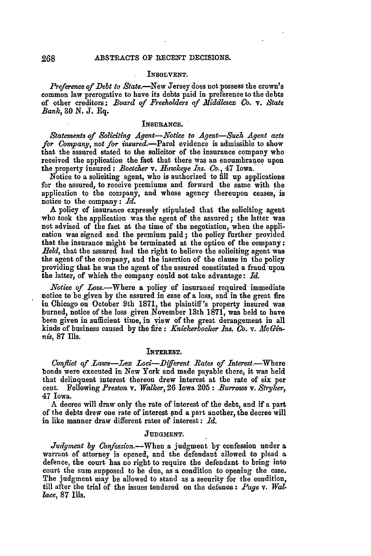### INSOLVENT.

*Preference of Debt to State.-New* Jersey does not possess the crown's common law prerogative to have its debts paid in preference to the debts of other creditors; *Board of Freeholders of .Middlesex Co. v. State Bank,* **30 N. J. Eq.**

# **INSURANCE.**

*Statements of Soliciting Agent-Notice to Agent-Such Agent acts* for Company, not for *insured*.-Parol evidence is admissible to show that the assured stated to the solicitor of the insurance company who received the application the fact that there was an encumbrance upon the property insured: *Boetcher v. Hawkeye Ins. Co.,* 47 Iowa.

Notice to a soliciting agent, who is authorized to fill up applications for the assured, to receive premiums and forward the same with the application to the company, and whose agency thereupon ceases, is notice to the company: *Id.*

**A** policy of insurance expressly stipulated that the soliciting agent who took the application was the agent of the assured; the latter was not advised of the fact at the time of the negotiation, when the application was signed and the premium paid; the policy further provided that the insurance might be terminated at the option of the company: Held, that the assured had the right to believe the soliciting agent was the agent of the company, and the insertion of the clause in the policy providing that he was the agent of the assured constituted a fraud upon the latter, of which the company could not take advantage: *Id.*

*Notice of Loss.*—Where a policy of insurance required immediate notice to be given by the assured in case of a loss, and in the great fire in Chicago on October 9th 1871, the plaintiff's property insured was burned, notice of the loss given November 13th 1871, was held to have been given in sufficient time, in view of the great derangement in all kinds of business caused **by** the **fie :** *Knickerbocker Ins. Co. v. Mc Ginnis,* **87** Ills.

### INTEREST.

Conflict of Laws-Lex Loci-Different Rates of Interest.-Where bonds were executed in New York and made payable there, it was held that delinquent interest thereon drew interest at the rate of six per cent. Following *Preston v. Walker,* **26** Iowa 205: *Burrows v. Stryker,* 47 Iowa.

A decree will draw only the rate of interest of the debt, and if a part of the debts drew one rate of interest and a part another, the decree will in like manner draw different rates of interest: *Id.*

# **JUDGMENT.**

*Judgment by Cnfession.-When* a judgment **by** confession under **a** warrant of attorney is opened, and the defendant allowed to plead a defence, the court has no right to require the defendant to bring into court the sum supposed to be due, as a condition to opening the case. The judgment may be allowed to stand as a security for the condition, till after the trial of the issues tendered on the defence: *Page* v. *Wallace,* 87 **Ills.**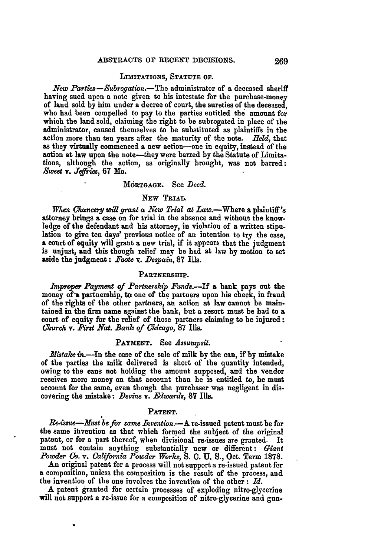### **LIMITATIONS, STATUTE** OF.

*New Parties-Subrogation.-The* administrator of **a** deceased sheriff having sued upon a note given to his intestate for the purchase-money of land sold **by** him under a decree of court, the sureties of the deceased, who had been compelled to pay to the parties entitled the amount for which the land sold, claiming the right to be subrogated in place of the administrator, caused themselves to be substituted as plaintiffs in the action more than ten years after the maturity of the note. Held, that as they virtually commenced a new action-one in equity, instead of the action at law upon the note-they were barred **by** the Statute of Limitations, although the action, as originally brought, was not barred: *Sweet* **v.** *Jeffries,* **67** Mo.

#### **MdRTGAGE.** See *Deed.*

# **NEW TRIAL.**

*When Chancery will grant a New Trial at Law.*—Where a plaintiff's attorney brings a case on for trial in the absence and without the knowledge of the defendant and his attorney, in violation of a written stipulation **to** give ten days' previous notice of an intention to try the ease, **<sup>a</sup>**court of equity will grant **a** new trial, if it appears that the judgment is unjust, **and** this though relief may be **had** at law **by** motion to set aside the judgment: *Foote* **v..** *Despain,* **87** Ills.

# **PARTNERSHIP.**

*improper Payment of Partnership Funds.-If* **a** bank. pays out the money of a partnership, to one of the partners upon his check, in fraud of the rights of the other partners, an action at law cannot be maintained in the firm name against the bank, but a resort must be **had** to a court of equity for the relief of those partners claiming **to** be injured: *Church* v. *Kart Nat. Bank of Chicago,* **87** Ills.

### PAYMENT. See *Assumysit.*

*Mistake* in.-In the case of the sale of milk **by** the can, if **by** mistake of the parties the milk delivered is short of the quantity intended, owing to the cans not holding the amount supposed, and the vendor receives more money on that account than he is entitled to, he must account for the same, even though the purchaser was negligent in discovering the mistake: *Devine v. Edwards,* **87 Ills.**

### **PATENT.**

*Re-issue-Must be for same Invention.*-A re-issued patent must be for the same itivention as that which formed the subject of the original patent, or for a part thereof, when divisional re-issues are granted. It must not contain anything substantially new or different: *Giant Powder Co.* v. *Caliornia Powder Works,* **S. (. U. S.,** Oct. Term **1878.**

An original patent for a process will not support a re-issued patent for a composition, unless the composition is the result of the process, and the invention of the one involves the invention of the other: *Id.*

**A** patent granted for certain processes of exploding nitro-glycerine will not support a re-issue for a composition of nitro-glycerine and gun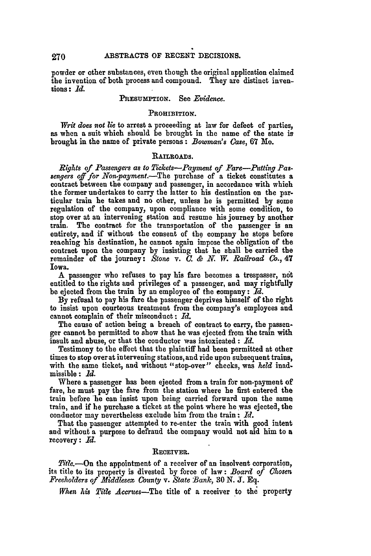powder or other substances, even though the original application claimed the invention of both process and compound. They are distinct inventions: *Id.*

### **PREsumpIoN.** See *Evidence.*

#### **PROHIBITION.**

*Writ does not lie* to arrest a proceeding at law for defect of parties, as when a suit which should be brought in the name of the state is brought in the name of private persons: *Bowman's* Case, **67** Mo.

### RAILROADS.

*Rights of Passengers as to T'ckets-Payment of Fare-Puttiny Passengers off for Nonpayment.-The* purchase of a ticket constitutes a contract between the company and passenger, in accordance with which the former undertakes to carry the latter **to** his destination on the particular train he takes and no other, unless he is permitted **by** some regulation of the company, upon compliance with some condition, to stop over at an intervening station and resume his journey **by** another train. The contract for the transportation of the passenger is an entirety, and if without the consent of the company he stops before reaching his destination, he cannot again impose the obligation of the contract upon the company **by** insisting that he shall be carried the remainder of the journey: *Stone v. C. &* **N.** TV. *Railroad C.,* 47 Iowa.

A passenger who refuses to pay his fare becomes a trespasser, not entitled to the rights **and** privileges of a passenger, and may rightfully be ejected from the train **by** an employee of the company: *Id.*

**By** refusal to pay his fare the passenger deprives himself of the right to insist upon courteous treatment from the company's employees and cannot complain of their misconduct **:** *Id.*

The cause of action being a breach of contract to carry, the passenger cannot be permitted to show that he was ejected from the train with insult and abuse, or that the conductor was intoxicated **:** *Id.*

Testimony to the effect that the plaintiff had been permitted at other times to stop over at intervening stations, and ride upon subsequent trains, with the same ticket, and without "stop-over" checks, was *held* inadmissible **:** *Id.*

Where a passenger has been ejected from a train for non.payment of fare, he must pay the fare from the station where he first entered the train before 'he can insist upon being carried forward upon the same train, and if he purchase a ticket at the point where he was ejected, the conductor may nevertheless exclude him from the train: *Id.*

That the passenger attempted to re-enter the train with good intent and without a purpose to defraud the company would not aid him to a recovery: *Id.*

### **RECEIVER.**

*T'tle.-On* the appointment of a receiver of an insolvent corporation, its title to its property is divested **by** force of law: *Board of Chosen Freeholders of Middlesex County v. State Bank,* **30 N.** *J.* **Eq.**

*When his Title Accrues-The* title of a receiver to the property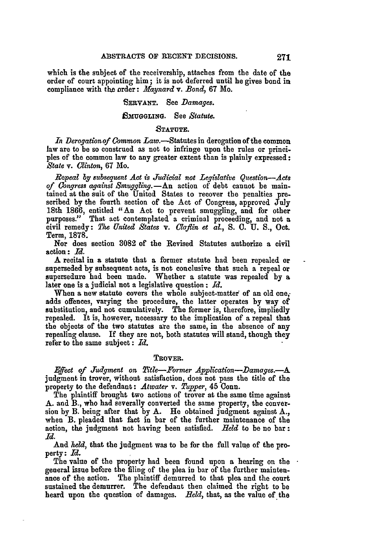which is the subject of the receivership, attaches from the date of the order of court appointing him; **it** is not deferred until he gives bond in compliance with **the** order: *Maynard v. Bond,* 67 Mo.

### **SERVANT.** See *Damages.*

### **M!UGLING.** See *Statute.*

### **STATUTE.**

In Derogation of Common Law.-Statutes in derogation of the common law are to be so construed as not to infringe upon the rules or principles of the common law to any greater extent than is plainly expressed: *State* v. *CYnton,* **67** Mo.

*Repeal by subsequent Act is Judicial not Legislative Question-Acts of Congress against Smuggling.-An* action of debt cannot be maintained at the suit of the United States to recover the penalties prescribed by the fourth section of the Act of Congress, approved July 18th 1866, entitled *"An* Act to prevent smuggling, and for other purposes." That act contemplated a criminal proceeding, and not a civil remedy: *Plhe United States v. Claftin et al., S.* **C. U. S.,** Oct. Term, **1878.**

Nor does section **3082** of the Revised Statutes authorize a civil action **:** *Id.*

A recital in a statute that a former statute had been repealed or superseded **by** subsequent acts, is not conclusive that such a repeal or supersedure had been made. Whether a statute was repealed **by** a later one is a judicial not a legislative question **:** *Id.*

When a new statute covers the whole subject-matter of an old one, adds offences, varying the procedure, the latter operates **by** way of substitution, and not cumulatively. The former is, therefore, impliedly repealed. It is, however, necessary to the implication of a repeal that the objects of the two statutes are the same, in the absence of any repealing clause. If they are not, both statutes will stand, though they refer to the same subject: *Id.*

#### **TROVER.**

 $E$ ffect of Judgment on Title--Former Application--Damages.--A judgment in trover, without satisfaction, does not pass the title of the property to the defendant: *Atwater v. Tupper,* 45 Conn.

The plaintiff brought two actions of trover at the same time against A. and B., who had severally converted the same property, the conversion **by** B. being after that by A. He obtained judgment against A., when **B.** pleaded that fact in bar of the further maintenance of the action, the judgment not having been satisfied. *11eld* to be no bar: *Id.*

And *held,* that the judgment was to be for the full value of the property: *Id.*

The value of the property had been found upon a hearing on the general issue before the filing of the plea in bar of the further maintenance of the action. The plaintiff demurred to that plea and the court sustained the demurrer. The defendant then claimed the right to be heard upon the question of damages. *Held,* that, as the value of the